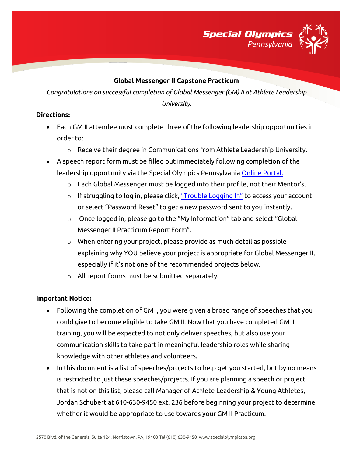

#### **Global Messenger II Capstone Practicum**

*Congratulations on successful completion of Global Messenger (GM) II at Athlete Leadership University.*

### **Directions:**

- Each GM II attendee must complete three of the following leadership opportunities in order to:
	- o Receive their degree in Communications from Athlete Leadership University.
- A speech report form must be filled out immediately following completion of the leadership opportunity via the Special Olympics Pennsylvania [Online Portal.](https://vsys.specialolympicspa.org/) 
	- o Each Global Messenger must be logged into their profile, not their Mentor's.
	- $\circ$  If struggling to log in, please click, ["Trouble Logging In"](https://vsys.specialolympicspa.org/pages/sendmsg:7AY9IMBYO5QPMJ4F) to access your account or select "Password Reset" to get a new password sent to you instantly.
	- o Once logged in, please go to the "My Information" tab and select "Global Messenger II Practicum Report Form".
	- o When entering your project, please provide as much detail as possible explaining why YOU believe your project is appropriate for Global Messenger II, especially if it's not one of the recommended projects below.
	- o All report forms must be submitted separately.

# **Important Notice:**

- Following the completion of GM I, you were given a broad range of speeches that you could give to become eligible to take GM II. Now that you have completed GM II training, you will be expected to not only deliver speeches, but also use your communication skills to take part in meaningful leadership roles while sharing knowledge with other athletes and volunteers.
- In this document is a list of speeches/projects to help get you started, but by no means is restricted to just these speeches/projects. If you are planning a speech or project that is not on this list, please call Manager of Athlete Leadership & Young Athletes, Jordan Schubert at 610-630-9450 ext. 236 before beginning your project to determine whether it would be appropriate to use towards your GM II Practicum.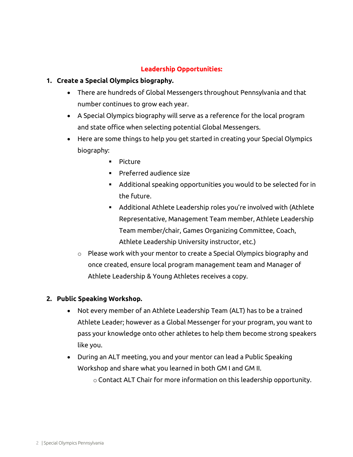# **Leadership Opportunities:**

## **1. Create a Special Olympics biography.**

- There are hundreds of Global Messengers throughout Pennsylvania and that number continues to grow each year.
- A Special Olympics biography will serve as a reference for the local program and state office when selecting potential Global Messengers.
- Here are some things to help you get started in creating your Special Olympics biography:
	- **Picture**
	- **Preferred audience size**
	- Additional speaking opportunities you would to be selected for in the future.
	- Additional Athlete Leadership roles you're involved with (Athlete Representative, Management Team member, Athlete Leadership Team member/chair, Games Organizing Committee, Coach, Athlete Leadership University instructor, etc.)
	- $\circ$  Please work with your mentor to create a Special Olympics biography and once created, ensure local program management team and Manager of Athlete Leadership & Young Athletes receives a copy.

#### **2. Public Speaking Workshop.**

- Not every member of an Athlete Leadership Team (ALT) has to be a trained Athlete Leader; however as a Global Messenger for your program, you want to pass your knowledge onto other athletes to help them become strong speakers like you.
- During an ALT meeting, you and your mentor can lead a Public Speaking Workshop and share what you learned in both GM I and GM II.

o Contact ALT Chair for more information on this leadership opportunity.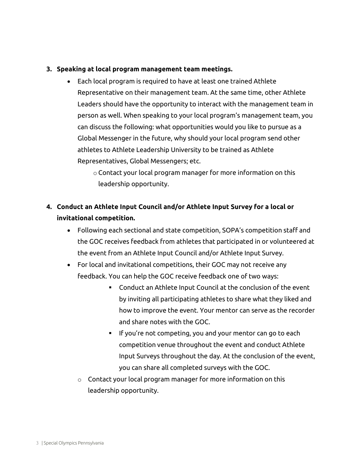#### **3. Speaking at local program management team meetings.**

- Each local program is required to have at least one trained Athlete Representative on their management team. At the same time, other Athlete Leaders should have the opportunity to interact with the management team in person as well. When speaking to your local program's management team, you can discuss the following: what opportunities would you like to pursue as a Global Messenger in the future, why should your local program send other athletes to Athlete Leadership University to be trained as Athlete Representatives, Global Messengers; etc.
	- o Contact your local program manager for more information on this leadership opportunity.

# **4. Conduct an Athlete Input Council and/or Athlete Input Survey for a local or invitational competition.**

- Following each sectional and state competition, SOPA's competition staff and the GOC receives feedback from athletes that participated in or volunteered at the event from an Athlete Input Council and/or Athlete Input Survey.
- For local and invitational competitions, their GOC may not receive any feedback. You can help the GOC receive feedback one of two ways:
	- Conduct an Athlete Input Council at the conclusion of the event by inviting all participating athletes to share what they liked and how to improve the event. Your mentor can serve as the recorder and share notes with the GOC.
	- **If you're not competing, you and your mentor can go to each** competition venue throughout the event and conduct Athlete Input Surveys throughout the day. At the conclusion of the event, you can share all completed surveys with the GOC.
	- $\circ$  Contact your local program manager for more information on this leadership opportunity.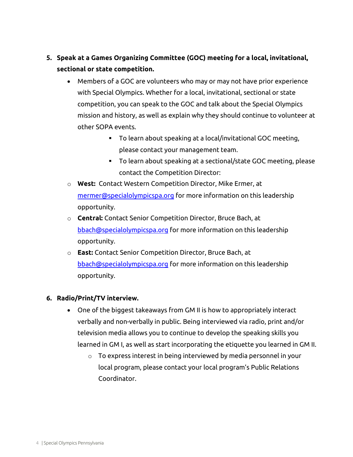- **5. Speak at a Games Organizing Committee (GOC) meeting for a local, invitational, sectional or state competition.** 
	- Members of a GOC are volunteers who may or may not have prior experience with Special Olympics. Whether for a local, invitational, sectional or state competition, you can speak to the GOC and talk about the Special Olympics mission and history, as well as explain why they should continue to volunteer at other SOPA events.
		- To learn about speaking at a local/invitational GOC meeting, please contact your management team.
		- To learn about speaking at a sectional/state GOC meeting, please contact the Competition Director:
	- o **West:** Contact Western Competition Director, Mike Ermer, at [mermer@specialolympicspa.org](mailto:mermer@specialolympicspa.org) for more information on this leadership opportunity.
	- o **Central:** Contact Senior Competition Director, Bruce Bach, at [bbach@specialolympicspa.org](mailto:bbach@specialolympicspa.org) for more information on this leadership opportunity.
	- o **East:** Contact Senior Competition Director, Bruce Bach, at [bbach@specialolympicspa.org](mailto:bbach@specialolympicspa.org) for more information on this leadership opportunity.

# **6. Radio/Print/TV interview.**

- One of the biggest takeaways from GM II is how to appropriately interact verbally and non-verbally in public. Being interviewed via radio, print and/or television media allows you to continue to develop the speaking skills you learned in GM I, as well as start incorporating the etiquette you learned in GM II.
	- o To express interest in being interviewed by media personnel in your local program, please contact your local program's Public Relations Coordinator.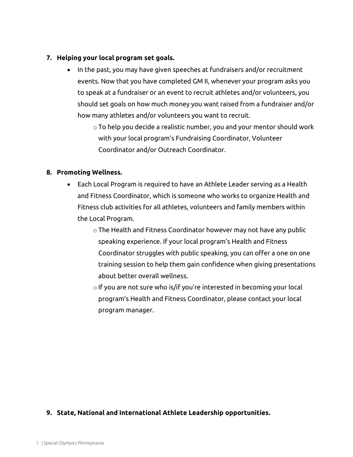#### **7. Helping your local program set goals.**

- In the past, you may have given speeches at fundraisers and/or recruitment events. Now that you have completed GM II, whenever your program asks you to speak at a fundraiser or an event to recruit athletes and/or volunteers, you should set goals on how much money you want raised from a fundraiser and/or how many athletes and/or volunteers you want to recruit.
	- o To help you decide a realistic number, you and your mentor should work with your local program's Fundraising Coordinator, Volunteer Coordinator and/or Outreach Coordinator.

### **8. Promoting Wellness.**

- Each Local Program is required to have an Athlete Leader serving as a Health and Fitness Coordinator, which is someone who works to organize Health and Fitness club activities for all athletes, volunteers and family members within the Local Program.
	- o The Health and Fitness Coordinator however may not have any public speaking experience. If your local program's Health and Fitness Coordinator struggles with public speaking, you can offer a one on one training session to help them gain confidence when giving presentations about better overall wellness.
	- o If you are not sure who is/if you're interested in becoming your local program's Health and Fitness Coordinator, please contact your local program manager.

# **9. State, National and International Athlete Leadership opportunities.**